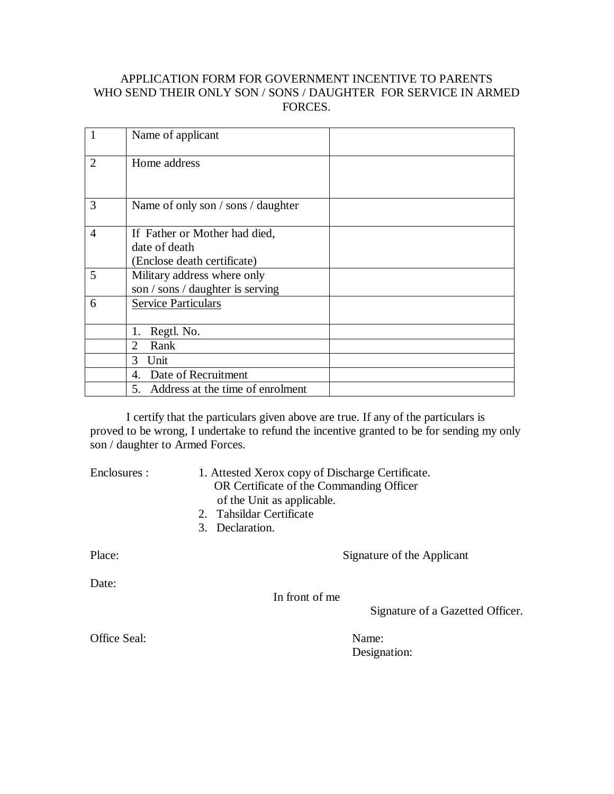### APPLICATION FORM FOR GOVERNMENT INCENTIVE TO PARENTS WHO SEND THEIR ONLY SON / SONS / DAUGHTER FOR SERVICE IN ARMED FORCES.

|                | Name of applicant                                                             |
|----------------|-------------------------------------------------------------------------------|
| $\overline{2}$ | Home address                                                                  |
| 3              | Name of only son / sons / daughter                                            |
| $\overline{4}$ | If Father or Mother had died,<br>date of death<br>(Enclose death certificate) |
| 5              | Military address where only<br>son / sons / daughter is serving               |
| 6              | <b>Service Particulars</b>                                                    |
|                | Regtl. No.<br>1.                                                              |
|                | Rank<br>$\mathcal{D}_{\mathcal{L}}$                                           |
|                | Unit<br>3                                                                     |
|                | 4. Date of Recruitment                                                        |
|                | 5. Address at the time of enrolment                                           |

I certify that the particulars given above are true. If any of the particulars is proved to be wrong, I undertake to refund the incentive granted to be for sending my only son / daughter to Armed Forces.

Enclosures : 1. Attested Xerox copy of Discharge Certificate. OR Certificate of the Commanding Officer of the Unit as applicable.

- 2. Tahsildar Certificate
- 3. Declaration.

Date:

Place: Signature of the Applicant

In front of me

Signature of a Gazetted Officer.

Office Seal: Name:

Designation: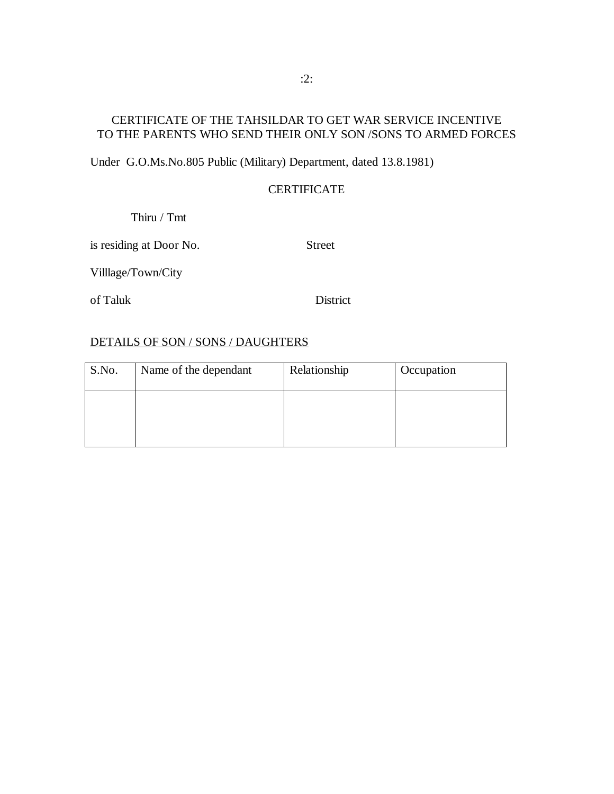# CERTIFICATE OF THE TAHSILDAR TO GET WAR SERVICE INCENTIVE TO THE PARENTS WHO SEND THEIR ONLY SON /SONS TO ARMED FORCES

Under G.O.Ms.No.805 Public (Military) Department, dated 13.8.1981)

### **CERTIFICATE**

Thiru / Tmt

is residing at Door No. Street

Villlage/Town/City

of Taluk District

#### DETAILS OF SON / SONS / DAUGHTERS

| S.No. | Name of the dependant | Relationship | Occupation |
|-------|-----------------------|--------------|------------|
|       |                       |              |            |
|       |                       |              |            |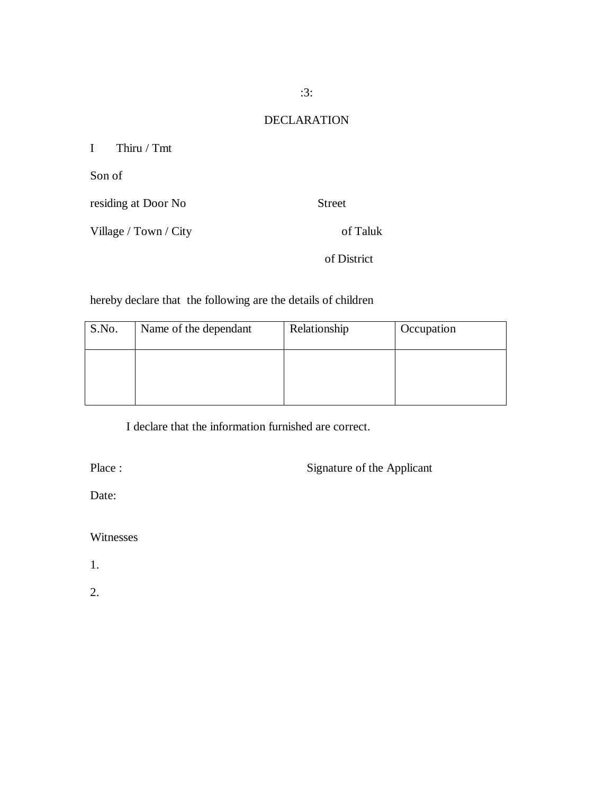## DECLARATION

I Thiru / Tmt

Son of

residing at Door No Street

Village / Town / City of Taluk

of District

hereby declare that the following are the details of children

| S.No. | Name of the dependant | Relationship | Occupation |
|-------|-----------------------|--------------|------------|
|       |                       |              |            |
|       |                       |              |            |

I declare that the information furnished are correct.

Place : Signature of the Applicant

Date:

Witnesses

1.

2.